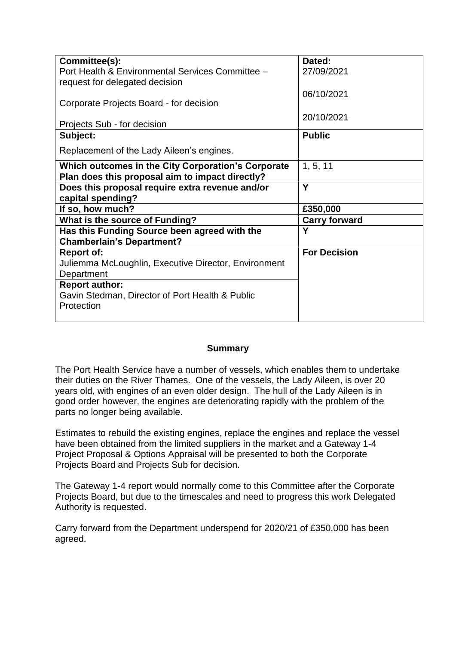| Committee(s):                                        | Dated:               |
|------------------------------------------------------|----------------------|
| Port Health & Environmental Services Committee -     | 27/09/2021           |
| request for delegated decision                       |                      |
|                                                      | 06/10/2021           |
| Corporate Projects Board - for decision              |                      |
|                                                      | 20/10/2021           |
| Projects Sub - for decision                          |                      |
| Subject:                                             | <b>Public</b>        |
| Replacement of the Lady Aileen's engines.            |                      |
| Which outcomes in the City Corporation's Corporate   | 1, 5, 11             |
| Plan does this proposal aim to impact directly?      |                      |
| Does this proposal require extra revenue and/or      | Y                    |
| capital spending?                                    |                      |
| If so, how much?                                     | £350,000             |
| <b>What is the source of Funding?</b>                | <b>Carry forward</b> |
| Has this Funding Source been agreed with the         | Υ                    |
| <b>Chamberlain's Department?</b>                     |                      |
| <b>Report of:</b>                                    | <b>For Decision</b>  |
| Juliemma McLoughlin, Executive Director, Environment |                      |
| Department                                           |                      |
| <b>Report author:</b>                                |                      |
| Gavin Stedman, Director of Port Health & Public      |                      |
| Protection                                           |                      |
|                                                      |                      |

#### **Summary**

The Port Health Service have a number of vessels, which enables them to undertake their duties on the River Thames. One of the vessels, the Lady Aileen, is over 20 years old, with engines of an even older design. The hull of the Lady Aileen is in good order however, the engines are deteriorating rapidly with the problem of the parts no longer being available.

Estimates to rebuild the existing engines, replace the engines and replace the vessel have been obtained from the limited suppliers in the market and a Gateway 1-4 Project Proposal & Options Appraisal will be presented to both the Corporate Projects Board and Projects Sub for decision.

The Gateway 1-4 report would normally come to this Committee after the Corporate Projects Board, but due to the timescales and need to progress this work Delegated Authority is requested.

Carry forward from the Department underspend for 2020/21 of £350,000 has been agreed.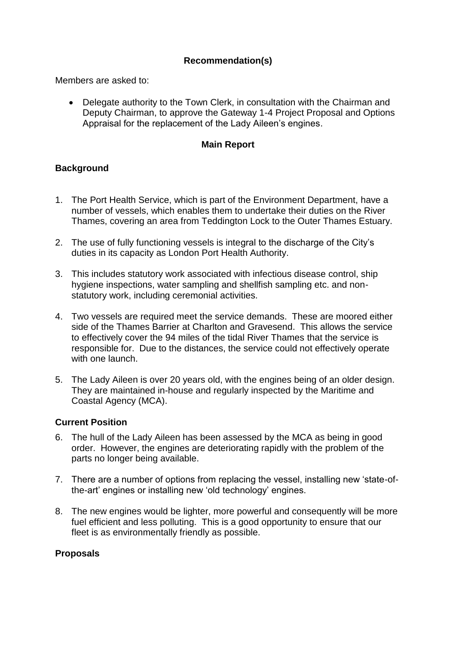# **Recommendation(s)**

Members are asked to:

• Delegate authority to the Town Clerk, in consultation with the Chairman and Deputy Chairman, to approve the Gateway 1-4 Project Proposal and Options Appraisal for the replacement of the Lady Aileen's engines.

# **Main Report**

## **Background**

- 1. The Port Health Service, which is part of the Environment Department, have a number of vessels, which enables them to undertake their duties on the River Thames, covering an area from Teddington Lock to the Outer Thames Estuary.
- 2. The use of fully functioning vessels is integral to the discharge of the City's duties in its capacity as London Port Health Authority.
- 3. This includes statutory work associated with infectious disease control, ship hygiene inspections, water sampling and shellfish sampling etc. and nonstatutory work, including ceremonial activities.
- 4. Two vessels are required meet the service demands. These are moored either side of the Thames Barrier at Charlton and Gravesend. This allows the service to effectively cover the 94 miles of the tidal River Thames that the service is responsible for. Due to the distances, the service could not effectively operate with one launch.
- 5. The Lady Aileen is over 20 years old, with the engines being of an older design. They are maintained in-house and regularly inspected by the Maritime and Coastal Agency (MCA).

## **Current Position**

- 6. The hull of the Lady Aileen has been assessed by the MCA as being in good order. However, the engines are deteriorating rapidly with the problem of the parts no longer being available.
- 7. There are a number of options from replacing the vessel, installing new 'state-ofthe-art' engines or installing new 'old technology' engines.
- 8. The new engines would be lighter, more powerful and consequently will be more fuel efficient and less polluting. This is a good opportunity to ensure that our fleet is as environmentally friendly as possible.

## **Proposals**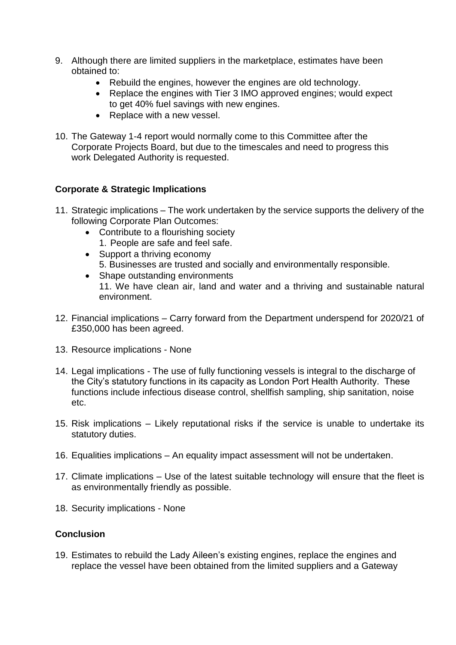- 9. Although there are limited suppliers in the marketplace, estimates have been obtained to:
	- Rebuild the engines, however the engines are old technology.
	- Replace the engines with Tier 3 IMO approved engines; would expect to get 40% fuel savings with new engines.
	- Replace with a new vessel.
- 10. The Gateway 1-4 report would normally come to this Committee after the Corporate Projects Board, but due to the timescales and need to progress this work Delegated Authority is requested.

## **Corporate & Strategic Implications**

- 11. Strategic implications The work undertaken by the service supports the delivery of the following Corporate Plan Outcomes:
	- Contribute to a flourishing society 1. People are safe and feel safe.
	- Support a thriving economy 5. Businesses are trusted and socially and environmentally responsible.
	- Shape outstanding environments 11. We have clean air, land and water and a thriving and sustainable natural environment.
- 12. Financial implications Carry forward from the Department underspend for 2020/21 of £350,000 has been agreed.
- 13. Resource implications None
- 14. Legal implications The use of fully functioning vessels is integral to the discharge of the City's statutory functions in its capacity as London Port Health Authority. These functions include infectious disease control, shellfish sampling, ship sanitation, noise etc.
- 15. Risk implications Likely reputational risks if the service is unable to undertake its statutory duties.
- 16. Equalities implications An equality impact assessment will not be undertaken.
- 17. Climate implications Use of the latest suitable technology will ensure that the fleet is as environmentally friendly as possible.
- 18. Security implications None

## **Conclusion**

19. Estimates to rebuild the Lady Aileen's existing engines, replace the engines and replace the vessel have been obtained from the limited suppliers and a Gateway